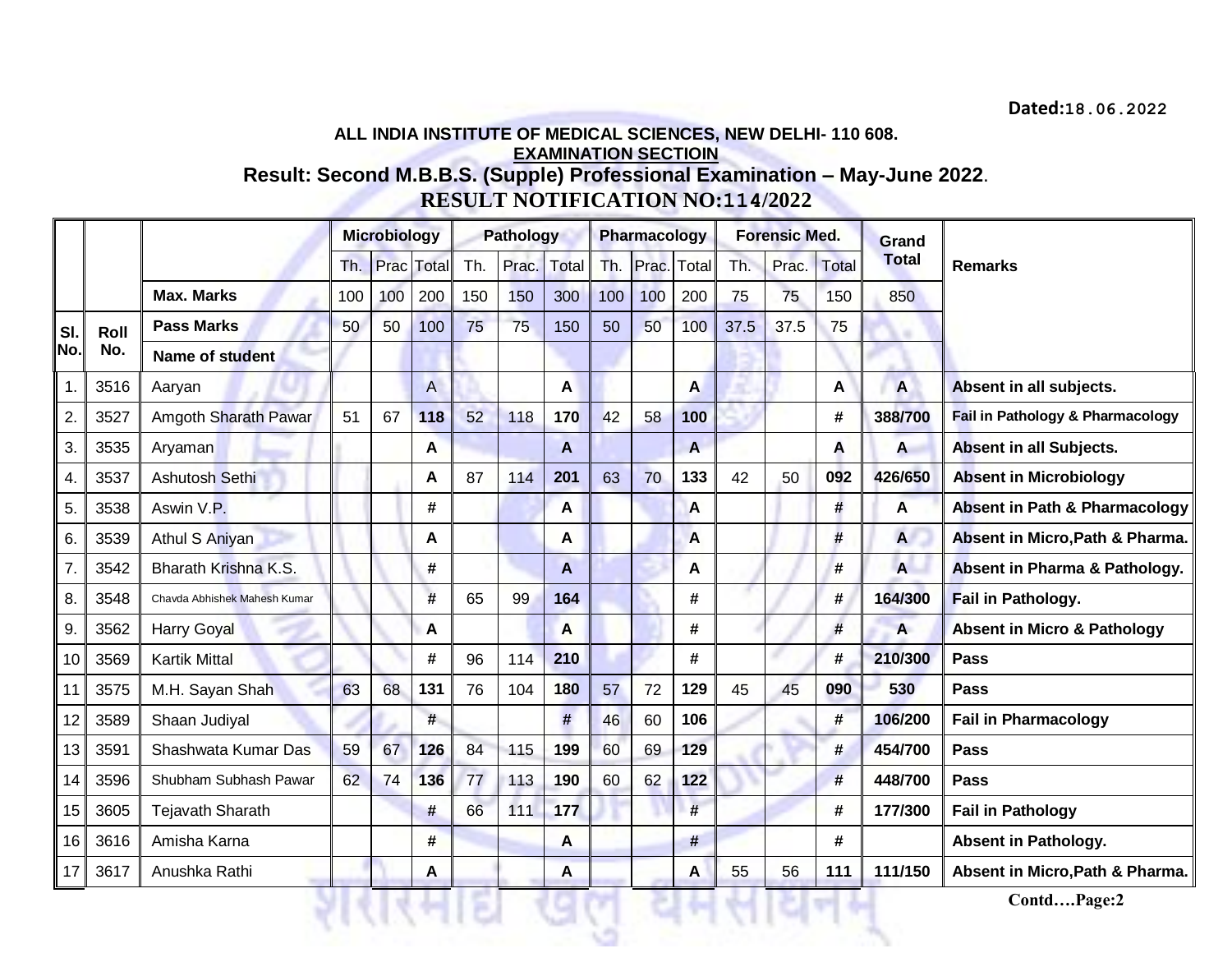## **ALL INDIA INSTITUTE OF MEDICAL SCIENCES, NEW DELHI- 110 608. EXAMINATION SECTIOIN**

**Result: Second M.B.B.S. (Supple) Professional Examination – May-June 2022**. **RESULT NOTIFICATION NO:114/2022**

|                 |      |                              | <b>Microbiology</b> |     |                | <b>Pathology</b> |       |       | Pharmacology |       |       | <b>Forensic Med.</b> |       |                | Grand                   |                                          |
|-----------------|------|------------------------------|---------------------|-----|----------------|------------------|-------|-------|--------------|-------|-------|----------------------|-------|----------------|-------------------------|------------------------------------------|
|                 |      |                              | Th.                 |     | Prac Total     | Th.              | Prac. | Total | Th.          | Prac. | Total | Th.                  | Prac. | <b>Total</b>   | <b>Total</b>            | <b>Remarks</b>                           |
|                 |      | <b>Max. Marks</b>            | 100                 | 100 | 200            | 150              | 150   | 300   | 100          | 100   | 200   | 75                   | 75    | 150            | 850                     |                                          |
| SI.             | Roll | <b>Pass Marks</b>            | 50                  | 50  | 100            | 75               | 75    | 150   | 50           | 50    | 100   | 37.5                 | 37.5  | 75             |                         |                                          |
| No.             | No.  | Name of student              |                     |     |                |                  |       |       |              |       |       |                      |       |                |                         |                                          |
| 1.              | 3516 | Aaryan                       |                     |     | $\overline{A}$ |                  |       | A     |              |       | A     |                      |       | A              | $\overline{\mathsf{A}}$ | Absent in all subjects.                  |
| 2.              | 3527 | Amgoth Sharath Pawar         | 51                  | 67  | 118            | 52               | 118   | 170   | 42           | 58    | 100   |                      |       | #              | 388/700                 | Fail in Pathology & Pharmacology         |
| 3.              | 3535 | Aryaman                      |                     |     | A              |                  |       | A     |              |       | A     |                      |       | A              | A                       | Absent in all Subjects.                  |
| 4.              | 3537 | Ashutosh Sethi               |                     |     | A              | 87               | 114   | 201   | 63           | 70    | 133   | 42                   | 50    | 092            | 426/650                 | <b>Absent in Microbiology</b>            |
| 5.              | 3538 | Aswin V.P.                   |                     |     | #              |                  |       | A     |              |       | A     |                      |       | #              | A                       | <b>Absent in Path &amp; Pharmacology</b> |
| 6.              | 3539 | Athul S Aniyan               |                     |     | A              |                  |       | A     |              |       | A     |                      |       | $\overline{H}$ | $\overline{A}$          | Absent in Micro, Path & Pharma.          |
| 7.              | 3542 | Bharath Krishna K.S.         |                     |     | #              |                  |       | A     |              |       | A     |                      |       | #              | A                       | Absent in Pharma & Pathology.            |
| 8.              | 3548 | Chavda Abhishek Mahesh Kumar |                     |     | #              | 65               | 99    | 164   |              |       | #     |                      |       | #              | 164/300                 | Fail in Pathology.                       |
| 9.              | 3562 | <b>Harry Goyal</b>           |                     |     | A              |                  |       | A     |              |       | #     |                      |       | #              | A                       | <b>Absent in Micro &amp; Pathology</b>   |
| 10 <sup>1</sup> | 3569 | <b>Kartik Mittal</b>         |                     |     | #              | 96               | 114   | 210   |              |       | #     |                      |       | #              | 210/300                 | Pass                                     |
| 11              | 3575 | M.H. Sayan Shah              | 63                  | 68  | 131            | 76               | 104   | 180   | 57           | 72    | 129   | 45                   | 45    | 090            | 530                     | Pass                                     |
| 12              | 3589 | Shaan Judiyal                |                     |     | #              |                  |       | $\#$  | 46           | 60    | 106   |                      |       | #              | 106/200                 | <b>Fail in Pharmacology</b>              |
| 13              | 3591 | Shashwata Kumar Das          | 59                  | 67  | 126            | 84               | 115   | 199   | 60           | 69    | 129   |                      |       | #              | 454/700                 | <b>Pass</b>                              |
| 14              | 3596 | Shubham Subhash Pawar        | 62                  | 74  | 136            | 77               | 113   | 190   | 60           | 62    | 122   |                      |       | #              | 448/700                 | <b>Pass</b>                              |
| 15 <sub>1</sub> | 3605 | <b>Tejavath Sharath</b>      |                     |     | #              | 66               | 111   | 177   |              |       | #     |                      |       | #              | 177/300                 | <b>Fail in Pathology</b>                 |
| 16              | 3616 | Amisha Karna                 |                     |     | #              |                  |       | A     |              |       |       |                      |       | #              |                         | <b>Absent in Pathology.</b>              |
| 17              | 3617 | Anushka Rathi                |                     |     | A              |                  |       | A     |              |       | A     | 55                   | 56    | 111            | 111/150                 | Absent in Micro, Path & Pharma.          |
|                 |      |                              |                     |     |                |                  |       |       |              |       |       |                      |       |                |                         | ContdPage:2                              |
|                 |      |                              |                     |     |                |                  |       |       |              |       |       |                      |       |                |                         |                                          |